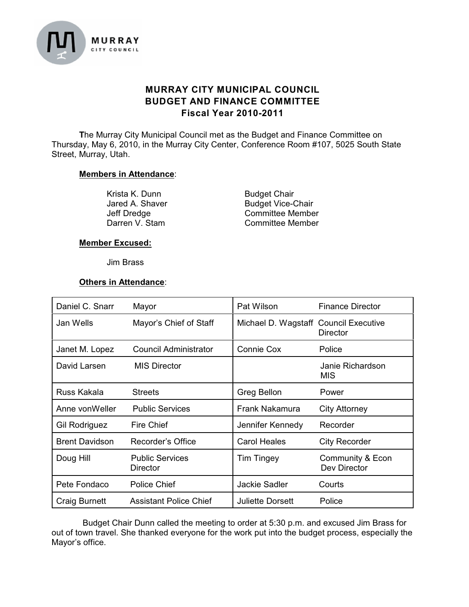

# **MURRAY CITY MUNICIPAL COUNCIL BUDGET AND FINANCE COMMITTEE Fiscal Year 2010-2011**

**T**he Murray City Municipal Council met as the Budget and Finance Committee on Thursday, May 6, 2010, in the Murray City Center, Conference Room #107, 5025 South State Street, Murray, Utah.

## **Members in Attendance**:

Krista K. Dunn Budget Chair<br>
Jared A. Shaver Budget Vice-C

Budget Vice-Chair Jeff Dredge **Committee Member**<br>
Darren V. Stam **Committee Member** Committee Member

## **Member Excused:**

#### Jim Brass

#### **Others in Attendance**:

| Daniel C. Snarr       | Mayor                              | Pat Wilson                            | <b>Finance Director</b>          |
|-----------------------|------------------------------------|---------------------------------------|----------------------------------|
| Jan Wells             | Mayor's Chief of Staff             | Michael D. Wagstaff Council Executive | <b>Director</b>                  |
| Janet M. Lopez        | Council Administrator              | Connie Cox                            | Police                           |
| David Larsen          | <b>MIS Director</b>                |                                       | Janie Richardson<br><b>MIS</b>   |
| Russ Kakala           | <b>Streets</b>                     | Greg Bellon                           | Power                            |
| Anne von Weller       | <b>Public Services</b>             | Frank Nakamura                        | <b>City Attorney</b>             |
| Gil Rodriguez         | Fire Chief                         | Jennifer Kennedy                      | Recorder                         |
| <b>Brent Davidson</b> | Recorder's Office                  | <b>Carol Heales</b>                   | <b>City Recorder</b>             |
| Doug Hill             | <b>Public Services</b><br>Director | <b>Tim Tingey</b>                     | Community & Econ<br>Dev Director |
| Pete Fondaco          | Police Chief                       | <b>Jackie Sadler</b>                  | Courts                           |
| <b>Craig Burnett</b>  | <b>Assistant Police Chief</b>      | <b>Juliette Dorsett</b>               | Police                           |

Budget Chair Dunn called the meeting to order at 5:30 p.m. and excused Jim Brass for out of town travel. She thanked everyone for the work put into the budget process, especially the Mayor's office.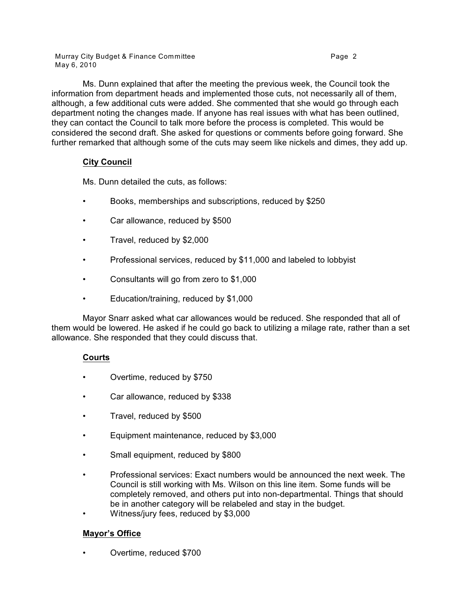Murray City Budget & Finance Committee **Page 2** and the Page 2 May 6, 2010

Ms. Dunn explained that after the meeting the previous week, the Council took the information from department heads and implemented those cuts, not necessarily all of them, although, a few additional cuts were added. She commented that she would go through each department noting the changes made. If anyone has real issues with what has been outlined, they can contact the Council to talk more before the process is completed. This would be considered the second draft. She asked for questions or comments before going forward. She further remarked that although some of the cuts may seem like nickels and dimes, they add up.

# **City Council**

Ms. Dunn detailed the cuts, as follows:

- Books, memberships and subscriptions, reduced by \$250
- Car allowance, reduced by \$500
- Travel, reduced by \$2,000
- Professional services, reduced by \$11,000 and labeled to lobbyist
- Consultants will go from zero to \$1,000
- Education/training, reduced by \$1,000

Mayor Snarr asked what car allowances would be reduced. She responded that all of them would be lowered. He asked if he could go back to utilizing a milage rate, rather than a set allowance. She responded that they could discuss that.

## **Courts**

- Overtime, reduced by \$750
- Car allowance, reduced by \$338
- Travel, reduced by \$500
- Equipment maintenance, reduced by \$3,000
- Small equipment, reduced by \$800
- Professional services: Exact numbers would be announced the next week. The Council is still working with Ms. Wilson on this line item. Some funds will be completely removed, and others put into non-departmental. Things that should be in another category will be relabeled and stay in the budget.
- Witness/jury fees, reduced by \$3,000

## **Mayor's Office**

• Overtime, reduced \$700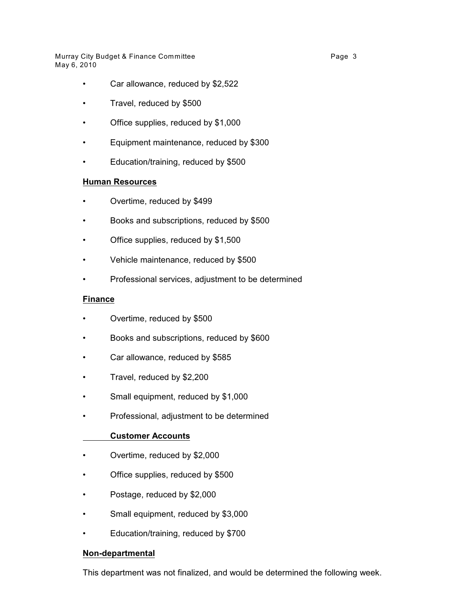Murray City Budget & Finance Committee **Page 3** Page 3 May 6, 2010

- Car allowance, reduced by \$2,522
- Travel, reduced by \$500
- Office supplies, reduced by \$1,000
- Equipment maintenance, reduced by \$300
- Education/training, reduced by \$500

## **Human Resources**

- Overtime, reduced by \$499
- Books and subscriptions, reduced by \$500
- Office supplies, reduced by \$1,500
- Vehicle maintenance, reduced by \$500
- Professional services, adjustment to be determined

## **Finance**

- Overtime, reduced by \$500
- Books and subscriptions, reduced by \$600
- Car allowance, reduced by \$585
- Travel, reduced by \$2,200
- Small equipment, reduced by \$1,000
- Professional, adjustment to be determined

## **Customer Accounts**

- Overtime, reduced by \$2,000
- Office supplies, reduced by \$500
- Postage, reduced by \$2,000
- Small equipment, reduced by \$3,000
- Education/training, reduced by \$700

#### **Non-departmental**

This department was not finalized, and would be determined the following week.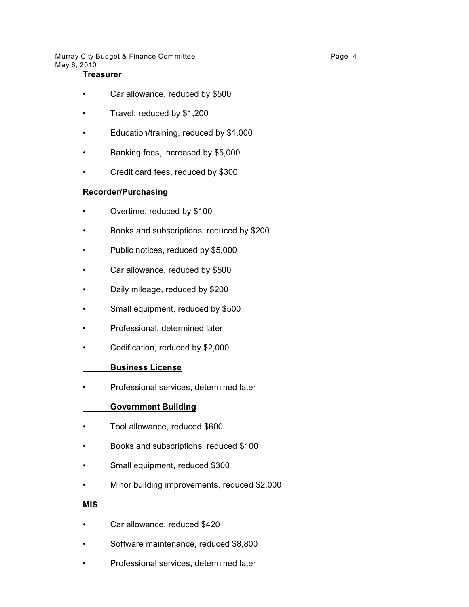Murray City Budget & Finance Committee **Page 4** Page 4 May 6, 2010

### **Treasurer**

- Car allowance, reduced by \$500
- Travel, reduced by \$1,200
- Education/training, reduced by \$1,000
- Banking fees, increased by \$5,000
- Credit card fees, reduced by \$300

#### **Recorder/Purchasing**

- Overtime, reduced by \$100
- Books and subscriptions, reduced by \$200
- Public notices, reduced by \$5,000
- Car allowance, reduced by \$500
- Daily mileage, reduced by \$200
- Small equipment, reduced by \$500
- Professional, determined later
- Codification, reduced by \$2,000

#### **Business License**

• Professional services, determined later

#### **Government Building**

- Tool allowance, reduced \$600
- Books and subscriptions, reduced \$100
- Small equipment, reduced \$300
- Minor building improvements, reduced \$2,000

#### **MIS**

- Car allowance, reduced \$420
- Software maintenance, reduced \$8,800
- Professional services, determined later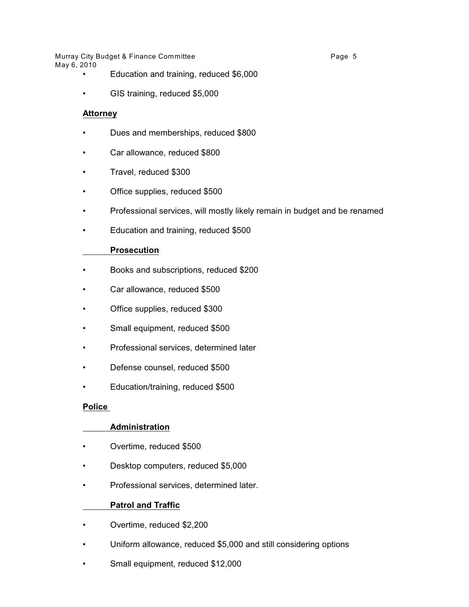Murray City Budget & Finance Committee **Page 5** and the Page 5 May 6, 2010

- Education and training, reduced \$6,000
- GIS training, reduced \$5,000

## **Attorney**

- Dues and memberships, reduced \$800
- Car allowance, reduced \$800
- Travel, reduced \$300
- Office supplies, reduced \$500
- Professional services, will mostly likely remain in budget and be renamed
- Education and training, reduced \$500

## **Prosecution**

- Books and subscriptions, reduced \$200
- Car allowance, reduced \$500
- Office supplies, reduced \$300
- Small equipment, reduced \$500
- Professional services, determined later
- Defense counsel, reduced \$500
- Education/training, reduced \$500

#### **Police**

#### **Administration**

- Overtime, reduced \$500
- Desktop computers, reduced \$5,000
- Professional services, determined later.

## **Patrol and Traffic**

- Overtime, reduced \$2,200
- Uniform allowance, reduced \$5,000 and still considering options
- Small equipment, reduced \$12,000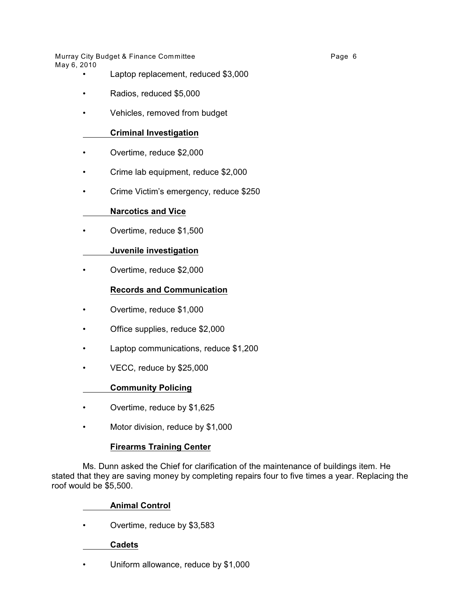Murray City Budget & Finance Committee **Page 6** and the Page 6 May 6, 2010

- Laptop replacement, reduced \$3,000
- Radios, reduced \$5,000
- Vehicles, removed from budget

## **Criminal Investigation**

- Overtime, reduce \$2,000
- Crime lab equipment, reduce \$2,000
- Crime Victim's emergency, reduce \$250

## **Narcotics and Vice**

• Overtime, reduce \$1,500

## **Juvenile investigation**

• Overtime, reduce \$2,000

## **Records and Communication**

- Overtime, reduce \$1,000
- Office supplies, reduce \$2,000
- Laptop communications, reduce \$1,200
- VECC, reduce by \$25,000

#### **Community Policing**

- Overtime, reduce by \$1,625
- Motor division, reduce by \$1,000

#### **Firearms Training Center**

Ms. Dunn asked the Chief for clarification of the maintenance of buildings item. He stated that they are saving money by completing repairs four to five times a year. Replacing the roof would be \$5,500.

#### **Animal Control**

• Overtime, reduce by \$3,583

#### **Cadets**

• Uniform allowance, reduce by \$1,000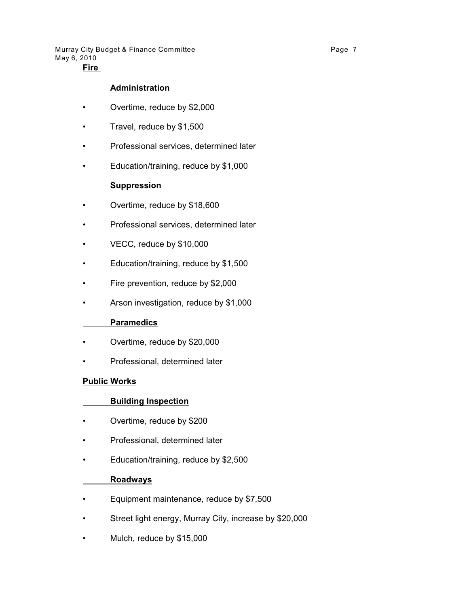Murray City Budget & Finance Committee **Page 7** and the Page 7 May 6, 2010

# **Fire**

### **Administration**

- Overtime, reduce by \$2,000
- Travel, reduce by \$1,500
- Professional services, determined later
- Education/training, reduce by \$1,000

## **Suppression**

- Overtime, reduce by \$18,600
- Professional services, determined later
- VECC, reduce by \$10,000
- Education/training, reduce by \$1,500
- Fire prevention, reduce by \$2,000
- Arson investigation, reduce by \$1,000

#### **Paramedics**

- Overtime, reduce by \$20,000
- Professional, determined later

#### **Public Works**

#### **Building Inspection**

- Overtime, reduce by \$200
- Professional, determined later
- Education/training, reduce by \$2,500

#### **Roadways**

- Equipment maintenance, reduce by \$7,500
- Street light energy, Murray City, increase by \$20,000
- Mulch, reduce by \$15,000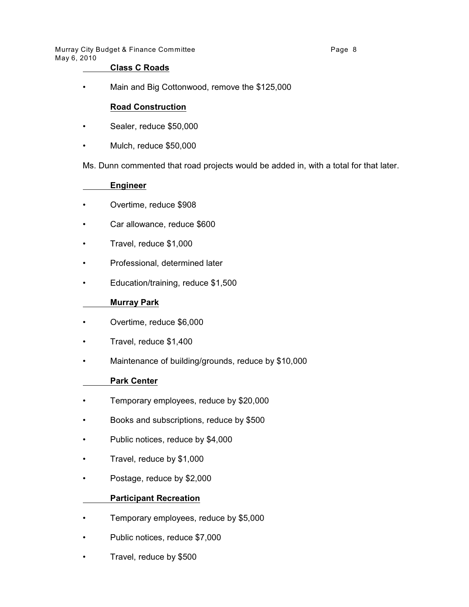Murray City Budget & Finance Committee **Page 1** 2012 1 2014 1 2019 1 2019 1 2019 1 2019 1 2019 1 2019 1 2019 1 20 May 6, 2010

## **Class C Roads**

• Main and Big Cottonwood, remove the \$125,000

## **Road Construction**

- Sealer, reduce \$50,000
- Mulch, reduce \$50,000

Ms. Dunn commented that road projects would be added in, with a total for that later.

## **Engineer**

- Overtime, reduce \$908
- Car allowance, reduce \$600
- Travel, reduce \$1,000
- Professional, determined later
- Education/training, reduce \$1,500

#### **Murray Park**

- Overtime, reduce \$6,000
- Travel, reduce \$1,400
- Maintenance of building/grounds, reduce by \$10,000

#### **Park Center**

- Temporary employees, reduce by \$20,000
- Books and subscriptions, reduce by \$500
- Public notices, reduce by \$4,000
- Travel, reduce by \$1,000
- Postage, reduce by \$2,000

#### **Participant Recreation**

- Temporary employees, reduce by \$5,000
- Public notices, reduce \$7,000
- Travel, reduce by \$500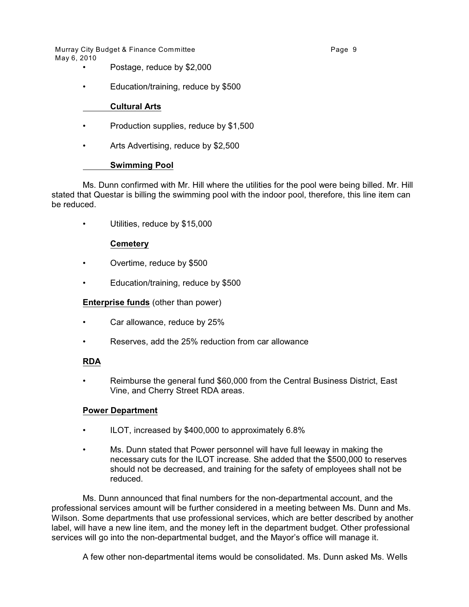Murray City Budget & Finance Committee **Page 9** Page 9 May 6, 2010

- Postage, reduce by \$2,000
- Education/training, reduce by \$500

## **Cultural Arts**

- Production supplies, reduce by \$1,500
- Arts Advertising, reduce by \$2,500

## **Swimming Pool**

Ms. Dunn confirmed with Mr. Hill where the utilities for the pool were being billed. Mr. Hill stated that Questar is billing the swimming pool with the indoor pool, therefore, this line item can be reduced.

• Utilities, reduce by \$15,000

## **Cemetery**

- Overtime, reduce by \$500
- Education/training, reduce by \$500

### **Enterprise funds** (other than power)

- Car allowance, reduce by 25%
- Reserves, add the 25% reduction from car allowance

#### **RDA**

• Reimburse the general fund \$60,000 from the Central Business District, East Vine, and Cherry Street RDA areas.

## **Power Department**

- ILOT, increased by \$400,000 to approximately 6.8%
- Ms. Dunn stated that Power personnel will have full leeway in making the necessary cuts for the ILOT increase. She added that the \$500,000 to reserves should not be decreased, and training for the safety of employees shall not be reduced.

Ms. Dunn announced that final numbers for the non-departmental account, and the professional services amount will be further considered in a meeting between Ms. Dunn and Ms. Wilson. Some departments that use professional services, which are better described by another label, will have a new line item, and the money left in the department budget. Other professional services will go into the non-departmental budget, and the Mayor's office will manage it.

A few other non-departmental items would be consolidated. Ms. Dunn asked Ms. Wells